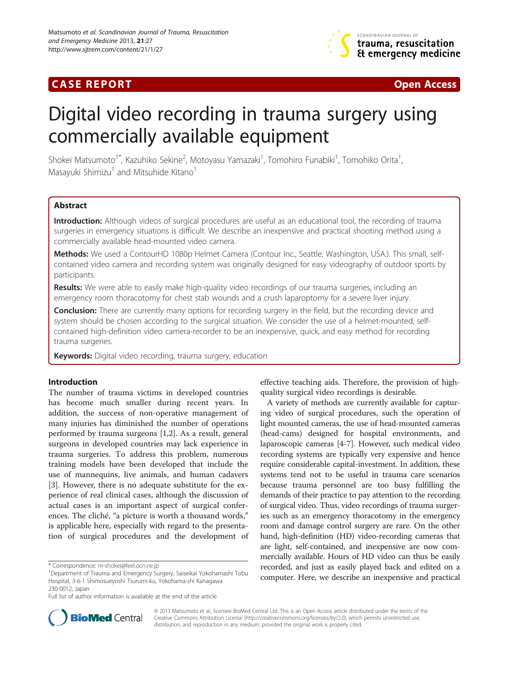## **CASE REPORT CASE REPORT CASE REPORT**



# Digital video recording in trauma surgery using commercially available equipment

Shokei Matsumoto<sup>1\*</sup>, Kazuhiko Sekine<sup>2</sup>, Motoyasu Yamazaki<sup>1</sup>, Tomohiro Funabiki<sup>1</sup>, Tomohiko Orita<sup>1</sup> , Masayuki Shimizu<sup>1</sup> and Mitsuhide Kitano<sup>1</sup>

## Abstract

Introduction: Although videos of surgical procedures are useful as an educational tool, the recording of trauma surgeries in emergency situations is difficult. We describe an inexpensive and practical shooting method using a commercially available head-mounted video camera.

Methods: We used a ContourHD 1080p Helmet Camera (Contour Inc., Seattle, Washington, USA.). This small, selfcontained video camera and recording system was originally designed for easy videography of outdoor sports by participants.

Results: We were able to easily make high-quality video recordings of our trauma surgeries, including an emergency room thoracotomy for chest stab wounds and a crush laparoptomy for a severe liver injury.

Conclusion: There are currently many options for recording surgery in the field, but the recording device and system should be chosen according to the surgical situation. We consider the use of a helmet-mounted, selfcontained high-definition video camera-recorder to be an inexpensive, quick, and easy method for recording trauma surgeries.

Keywords: Digital video recording, trauma surgery, education

### Introduction

The number of trauma victims in developed countries has become much smaller during recent years. In addition, the success of non-operative management of many injuries has diminished the number of operations performed by trauma surgeons [\[1](#page-4-0),[2](#page-4-0)]. As a result, general surgeons in developed countries may lack experience in trauma surgeries. To address this problem, numerous training models have been developed that include the use of mannequins, live animals, and human cadavers [[3\]](#page-4-0). However, there is no adequate substitute for the experience of real clinical cases, although the discussion of actual cases is an important aspect of surgical conferences. The cliché, "a picture is worth a thousand words," is applicable here, especially with regard to the presentation of surgical procedures and the development of effective teaching aids. Therefore, the provision of highquality surgical video recordings is desirable.

A variety of methods are currently available for capturing video of surgical procedures, such the operation of light mounted cameras, the use of head-mounted cameras (head-cams) designed for hospital environments, and laparoscopic cameras [\[4](#page-4-0)-[7\]](#page-4-0). However, such medical video recording systems are typically very expensive and hence require considerable capital-investment. In addition, these systems tend not to be useful in trauma care scenarios because trauma personnel are too busy fulfilling the demands of their practice to pay attention to the recording of surgical video. Thus, video recordings of trauma surgeries such as an emergency thoracotomy in the emergency room and damage control surgery are rare. On the other hand, high-definition (HD) video-recording cameras that are light, self-contained, and inexpensive are now commercially available. Hours of HD video can thus be easily recorded, and just as easily played back and edited on a computer. Here, we describe an inexpensive and practical



© 2013 Matsumoto et al.; licensee BioMed Central Ltd. This is an Open Access article distributed under the terms of the Creative Commons Attribution License (<http://creativecommons.org/licenses/by/2.0>), which permits unrestricted use, distribution, and reproduction in any medium, provided the original work is properly cited.

<sup>\*</sup> Correspondence: [m-shokei@feel.ocn.ne.jp](mailto:m-shokei@feel.ocn.ne.jp) <sup>1</sup>

Department of Trauma and Emergency Surgery, Saiseikai Yokohamashi Tobu Hospital, 3-6-1 Shimosueyoshi Tsurumi-ku, Yokohama-shi Kanagawa 230-0012, Japan

Full list of author information is available at the end of the article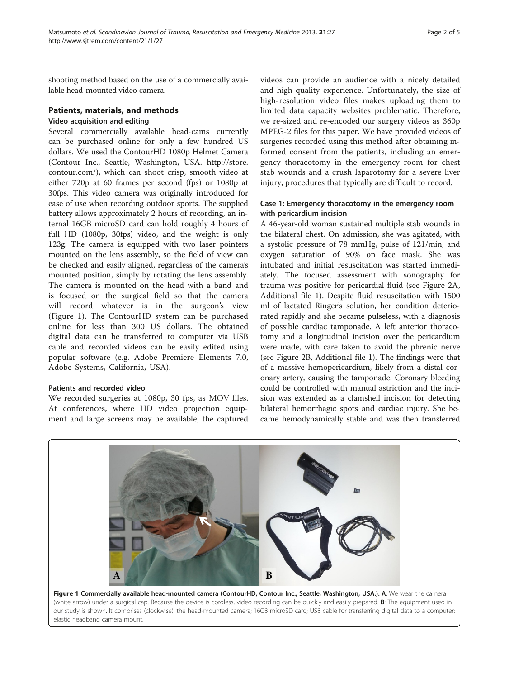shooting method based on the use of a commercially available head-mounted video camera.

### Patients, materials, and methods

#### Video acquisition and editing

Several commercially available head-cams currently can be purchased online for only a few hundred US dollars. We used the ContourHD 1080p Helmet Camera (Contour Inc., Seattle, Washington, USA. [http://store.](http://store.contour.com/) [contour.com/](http://store.contour.com/)), which can shoot crisp, smooth video at either 720p at 60 frames per second (fps) or 1080p at 30fps. This video camera was originally introduced for ease of use when recording outdoor sports. The supplied battery allows approximately 2 hours of recording, an internal 16GB microSD card can hold roughly 4 hours of full HD (1080p, 30fps) video, and the weight is only 123g. The camera is equipped with two laser pointers mounted on the lens assembly, so the field of view can be checked and easily aligned, regardless of the camera's mounted position, simply by rotating the lens assembly. The camera is mounted on the head with a band and is focused on the surgical field so that the camera will record whatever is in the surgeon's view (Figure 1). The ContourHD system can be purchased online for less than 300 US dollars. The obtained digital data can be transferred to computer via USB cable and recorded videos can be easily edited using popular software (e.g. Adobe Premiere Elements 7.0, Adobe Systems, California, USA).

#### Patients and recorded video

We recorded surgeries at 1080p, 30 fps, as MOV files. At conferences, where HD video projection equipment and large screens may be available, the captured videos can provide an audience with a nicely detailed and high-quality experience. Unfortunately, the size of high-resolution video files makes uploading them to limited data capacity websites problematic. Therefore, we re-sized and re-encoded our surgery videos as 360p MPEG-2 files for this paper. We have provided videos of surgeries recorded using this method after obtaining informed consent from the patients, including an emergency thoracotomy in the emergency room for chest stab wounds and a crush laparotomy for a severe liver injury, procedures that typically are difficult to record.

## Case 1: Emergency thoracotomy in the emergency room with pericardium incision

A 46-year-old woman sustained multiple stab wounds in the bilateral chest. On admission, she was agitated, with a systolic pressure of 78 mmHg, pulse of 121/min, and oxygen saturation of 90% on face mask. She was intubated and initial resuscitation was started immediately. The focused assessment with sonography for trauma was positive for pericardial fluid (see Figure [2](#page-2-0)A, Additional file [1\)](#page-4-0). Despite fluid resuscitation with 1500 ml of lactated Ringer's solution, her condition deteriorated rapidly and she became pulseless, with a diagnosis of possible cardiac tamponade. A left anterior thoracotomy and a longitudinal incision over the pericardium were made, with care taken to avoid the phrenic nerve (see Figure [2B](#page-2-0), Additional file [1\)](#page-4-0). The findings were that of a massive hemopericardium, likely from a distal coronary artery, causing the tamponade. Coronary bleeding could be controlled with manual astriction and the incision was extended as a clamshell incision for detecting bilateral hemorrhagic spots and cardiac injury. She became hemodynamically stable and was then transferred

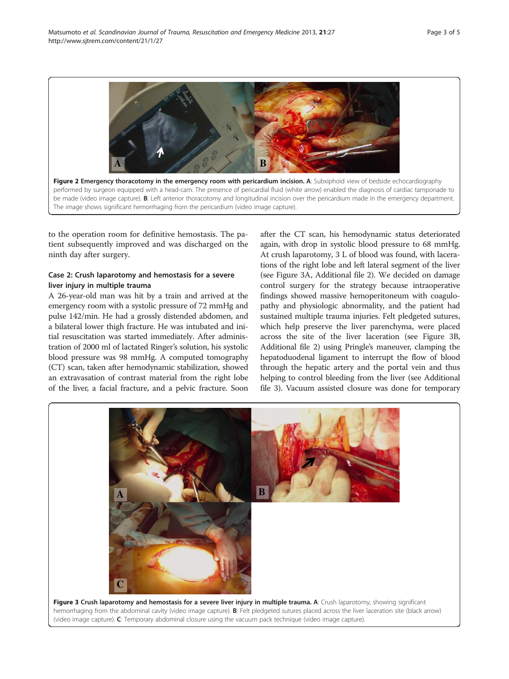<span id="page-2-0"></span>

to the operation room for definitive hemostasis. The patient subsequently improved and was discharged on the ninth day after surgery.

## Case 2: Crush laparotomy and hemostasis for a severe liver injury in multiple trauma

A 26-year-old man was hit by a train and arrived at the emergency room with a systolic pressure of 72 mmHg and pulse 142/min. He had a grossly distended abdomen, and a bilateral lower thigh fracture. He was intubated and initial resuscitation was started immediately. After administration of 2000 ml of lactated Ringer's solution, his systolic blood pressure was 98 mmHg. A computed tomography (CT) scan, taken after hemodynamic stabilization, showed an extravasation of contrast material from the right lobe of the liver, a facial fracture, and a pelvic fracture. Soon after the CT scan, his hemodynamic status deteriorated again, with drop in systolic blood pressure to 68 mmHg. At crush laparotomy, 3 L of blood was found, with lacerations of the right lobe and left lateral segment of the liver (see Figure 3A, Additional file [2](#page-4-0)). We decided on damage control surgery for the strategy because intraoperative findings showed massive hemoperitoneum with coagulopathy and physiologic abnormality, and the patient had sustained multiple trauma injuries. Felt pledgeted sutures, which help preserve the liver parenchyma, were placed across the site of the liver laceration (see Figure 3B, Additional file [2\)](#page-4-0) using Pringle's maneuver, clamping the hepatoduodenal ligament to interrupt the flow of blood through the hepatic artery and the portal vein and thus helping to control bleeding from the liver (see Additional file [3\)](#page-4-0). Vacuum assisted closure was done for temporary

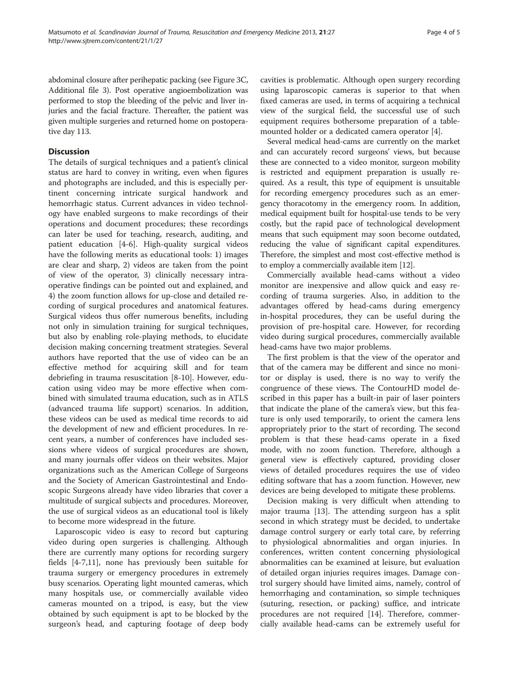abdominal closure after perihepatic packing (see Figure [3C](#page-2-0), Additional file [3\)](#page-4-0). Post operative angioembolization was performed to stop the bleeding of the pelvic and liver injuries and the facial fracture. Thereafter, the patient was given multiple surgeries and returned home on postoperative day 113.

## **Discussion**

The details of surgical techniques and a patient's clinical status are hard to convey in writing, even when figures and photographs are included, and this is especially pertinent concerning intricate surgical handwork and hemorrhagic status. Current advances in video technology have enabled surgeons to make recordings of their operations and document procedures; these recordings can later be used for teaching, research, auditing, and patient education [\[4](#page-4-0)-[6\]](#page-4-0). High-quality surgical videos have the following merits as educational tools: 1) images are clear and sharp, 2) videos are taken from the point of view of the operator, 3) clinically necessary intraoperative findings can be pointed out and explained, and 4) the zoom function allows for up-close and detailed recording of surgical procedures and anatomical features. Surgical videos thus offer numerous benefits, including not only in simulation training for surgical techniques, but also by enabling role-playing methods, to elucidate decision making concerning treatment strategies. Several authors have reported that the use of video can be an effective method for acquiring skill and for team debriefing in trauma resuscitation [\[8](#page-4-0)-[10\]](#page-4-0). However, education using video may be more effective when combined with simulated trauma education, such as in ATLS (advanced trauma life support) scenarios. In addition, these videos can be used as medical time records to aid the development of new and efficient procedures. In recent years, a number of conferences have included sessions where videos of surgical procedures are shown, and many journals offer videos on their websites. Major organizations such as the American College of Surgeons and the Society of American Gastrointestinal and Endoscopic Surgeons already have video libraries that cover a multitude of surgical subjects and procedures. Moreover, the use of surgical videos as an educational tool is likely to become more widespread in the future.

Laparoscopic video is easy to record but capturing video during open surgeries is challenging. Although there are currently many options for recording surgery fields [\[4-7](#page-4-0),[11](#page-4-0)], none has previously been suitable for trauma surgery or emergency procedures in extremely busy scenarios. Operating light mounted cameras, which many hospitals use, or commercially available video cameras mounted on a tripod, is easy, but the view obtained by such equipment is apt to be blocked by the surgeon's head, and capturing footage of deep body

cavities is problematic. Although open surgery recording using laparoscopic cameras is superior to that when fixed cameras are used, in terms of acquiring a technical view of the surgical field, the successful use of such equipment requires bothersome preparation of a tablemounted holder or a dedicated camera operator [[4\]](#page-4-0).

Several medical head-cams are currently on the market and can accurately record surgeons' views, but because these are connected to a video monitor, surgeon mobility is restricted and equipment preparation is usually required. As a result, this type of equipment is unsuitable for recording emergency procedures such as an emergency thoracotomy in the emergency room. In addition, medical equipment built for hospital-use tends to be very costly, but the rapid pace of technological development means that such equipment may soon become outdated, reducing the value of significant capital expenditures. Therefore, the simplest and most cost-effective method is to employ a commercially available item [[12](#page-4-0)].

Commercially available head-cams without a video monitor are inexpensive and allow quick and easy recording of trauma surgeries. Also, in addition to the advantages offered by head-cams during emergency in-hospital procedures, they can be useful during the provision of pre-hospital care. However, for recording video during surgical procedures, commercially available head-cams have two major problems.

The first problem is that the view of the operator and that of the camera may be different and since no monitor or display is used, there is no way to verify the congruence of these views. The ContourHD model described in this paper has a built-in pair of laser pointers that indicate the plane of the camera's view, but this feature is only used temporarily, to orient the camera lens appropriately prior to the start of recording. The second problem is that these head-cams operate in a fixed mode, with no zoom function. Therefore, although a general view is effectively captured, providing closer views of detailed procedures requires the use of video editing software that has a zoom function. However, new devices are being developed to mitigate these problems.

Decision making is very difficult when attending to major trauma [[13\]](#page-4-0). The attending surgeon has a split second in which strategy must be decided, to undertake damage control surgery or early total care, by referring to physiological abnormalities and organ injuries. In conferences, written content concerning physiological abnormalities can be examined at leisure, but evaluation of detailed organ injuries requires images. Damage control surgery should have limited aims, namely, control of hemorrhaging and contamination, so simple techniques (suturing, resection, or packing) suffice, and intricate procedures are not required [[14\]](#page-4-0). Therefore, commercially available head-cams can be extremely useful for